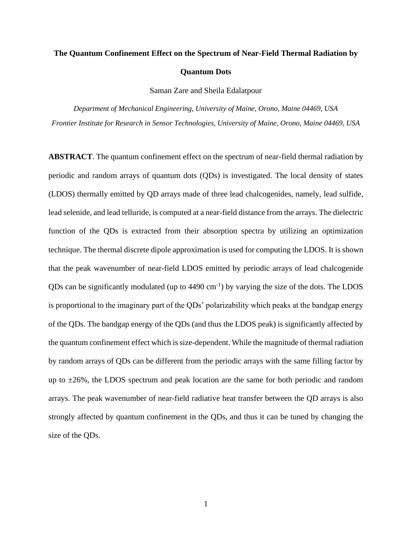# **The Quantum Confinement Effect on the Spectrum of Near-Field Thermal Radiation by Quantum Dots**

Saman Zare and Sheila Edalatpour

*Department of Mechanical Engineering, University of Maine, Orono, Maine 04469, USA Frontier Institute for Research in Sensor Technologies, University of Maine, Orono, Maine 04469, USA*

**ABSTRACT**. The quantum confinement effect on the spectrum of near-field thermal radiation by periodic and random arrays of quantum dots (QDs) is investigated. The local density of states (LDOS) thermally emitted by QD arrays made of three lead chalcogenides, namely, lead sulfide, lead selenide, and lead telluride, is computed at a near-field distance from the arrays. The dielectric function of the QDs is extracted from their absorption spectra by utilizing an optimization technique. The thermal discrete dipole approximation is used for computing the LDOS. It is shown that the peak wavenumber of near-field LDOS emitted by periodic arrays of lead chalcogenide QDs can be significantly modulated (up to  $4490 \text{ cm}^{-1}$ ) by varying the size of the dots. The LDOS is proportional to the imaginary part of the QDs' polarizability which peaks at the bandgap energy of the QDs. The bandgap energy of the QDs (and thus the LDOS peak) is significantly affected by the quantum confinement effect which is size-dependent. While the magnitude of thermal radiation by random arrays of QDs can be different from the periodic arrays with the same filling factor by up to  $\pm 26\%$ , the LDOS spectrum and peak location are the same for both periodic and random arrays. The peak wavenumber of near-field radiative heat transfer between the QD arrays is also strongly affected by quantum confinement in the QDs, and thus it can be tuned by changing the size of the QDs.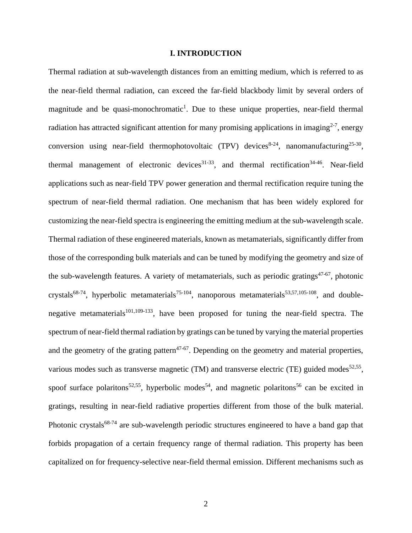### **I. INTRODUCTION**

Thermal radiation at sub-wavelength distances from an emitting medium, which is referred to as the near-field thermal radiation, can exceed the far-field blackbody limit by several orders of magnitude and be quasi-monochromatic<sup>1</sup>. Due to these unique properties, near-field thermal radiation has attracted significant attention for many promising applications in imaging<sup>2-7</sup>, energy conversion using near-field thermophotovoltaic (TPV) devices<sup>8-24</sup>, nanomanufacturing<sup>25-30</sup>, thermal management of electronic devices $31-33$ , and thermal rectification $34-46$ . Near-field applications such as near-field TPV power generation and thermal rectification require tuning the spectrum of near-field thermal radiation. One mechanism that has been widely explored for customizing the near-field spectra is engineering the emitting medium at the sub-wavelength scale. Thermal radiation of these engineered materials, known as metamaterials, significantly differ from those of the corresponding bulk materials and can be tuned by modifying the geometry and size of the sub-wavelength features. A variety of metamaterials, such as periodic gratings<sup>47-67</sup>, photonic crystals<sup>68-74</sup>, hyperbolic metamaterials<sup>75-104</sup>, nanoporous metamaterials<sup>53,57,105-108</sup>, and doublenegative metamaterials<sup>101,109-133</sup>, have been proposed for tuning the near-field spectra. The spectrum of near-field thermal radiation by gratings can be tuned by varying the material properties and the geometry of the grating pattern $47-67$ . Depending on the geometry and material properties, various modes such as transverse magnetic (TM) and transverse electric (TE) guided modes<sup>52,55</sup>, spoof surface polaritons<sup>52,55</sup>, hyperbolic modes<sup>54</sup>, and magnetic polaritons<sup>56</sup> can be excited in gratings, resulting in near-field radiative properties different from those of the bulk material. Photonic crystals<sup>68-74</sup> are sub-wavelength periodic structures engineered to have a band gap that forbids propagation of a certain frequency range of thermal radiation. This property has been capitalized on for frequency-selective near-field thermal emission. Different mechanisms such as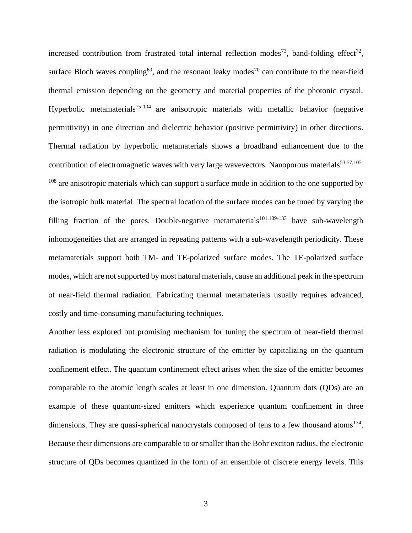increased contribution from frustrated total internal reflection modes<sup>73</sup>, band-folding effect<sup>72</sup>, surface Bloch waves coupling<sup>69</sup>, and the resonant leaky modes<sup>70</sup> can contribute to the near-field thermal emission depending on the geometry and material properties of the photonic crystal. Hyperbolic metamaterials<sup>75-104</sup> are anisotropic materials with metallic behavior (negative permittivity) in one direction and dielectric behavior (positive permittivity) in other directions. Thermal radiation by hyperbolic metamaterials shows a broadband enhancement due to the contribution of electromagnetic waves with very large wavevectors. Nanoporous materials $53,57,105-$ <sup>108</sup> are anisotropic materials which can support a surface mode in addition to the one supported by the isotropic bulk material. The spectral location of the surface modes can be tuned by varying the filling fraction of the pores. Double-negative metamaterials  $101,109-133$  have sub-wavelength inhomogeneities that are arranged in repeating patterns with a sub-wavelength periodicity. These metamaterials support both TM- and TE-polarized surface modes. The TE-polarized surface modes, which are not supported by most natural materials, cause an additional peak in the spectrum of near-field thermal radiation. Fabricating thermal metamaterials usually requires advanced, costly and time-consuming manufacturing techniques.

Another less explored but promising mechanism for tuning the spectrum of near-field thermal radiation is modulating the electronic structure of the emitter by capitalizing on the quantum confinement effect. The quantum confinement effect arises when the size of the emitter becomes comparable to the atomic length scales at least in one dimension. Quantum dots (QDs) are an example of these quantum-sized emitters which experience quantum confinement in three dimensions. They are quasi-spherical nanocrystals composed of tens to a few thousand atoms<sup>134</sup>. Because their dimensions are comparable to or smaller than the Bohr exciton radius, the electronic structure of QDs becomes quantized in the form of an ensemble of discrete energy levels. This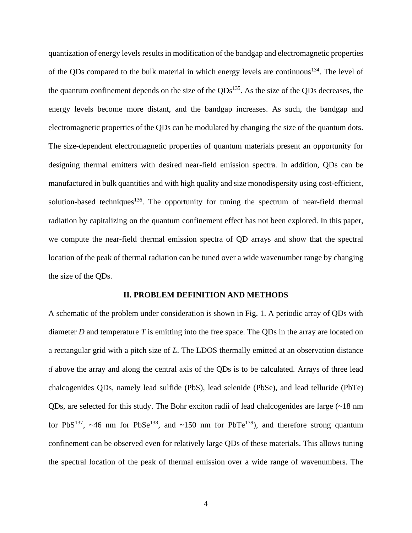quantization of energy levels results in modification of the bandgap and electromagnetic properties of the QDs compared to the bulk material in which energy levels are continuous<sup>134</sup>. The level of the quantum confinement depends on the size of the  $QDs<sup>135</sup>$ . As the size of the  $QDs$  decreases, the energy levels become more distant, and the bandgap increases. As such, the bandgap and electromagnetic properties of the QDs can be modulated by changing the size of the quantum dots. The size-dependent electromagnetic properties of quantum materials present an opportunity for designing thermal emitters with desired near-field emission spectra. In addition, QDs can be manufactured in bulk quantities and with high quality and size monodispersity using cost-efficient, solution-based techniques<sup>136</sup>. The opportunity for tuning the spectrum of near-field thermal radiation by capitalizing on the quantum confinement effect has not been explored. In this paper, we compute the near-field thermal emission spectra of QD arrays and show that the spectral location of the peak of thermal radiation can be tuned over a wide wavenumber range by changing the size of the QDs.

#### **II. PROBLEM DEFINITION AND METHODS**

A schematic of the problem under consideration is shown in Fig. 1. A periodic array of QDs with diameter *D* and temperature *T* is emitting into the free space. The QDs in the array are located on a rectangular grid with a pitch size of *L*. The LDOS thermally emitted at an observation distance *d* above the array and along the central axis of the QDs is to be calculated. Arrays of three lead chalcogenides QDs, namely lead sulfide (PbS), lead selenide (PbSe), and lead telluride (PbTe) QDs, are selected for this study. The Bohr exciton radii of lead chalcogenides are large (~18 nm for PbS<sup>137</sup>, ~46 nm for PbSe<sup>138</sup>, and ~150 nm for PbTe<sup>139</sup>), and therefore strong quantum confinement can be observed even for relatively large QDs of these materials. This allows tuning the spectral location of the peak of thermal emission over a wide range of wavenumbers. The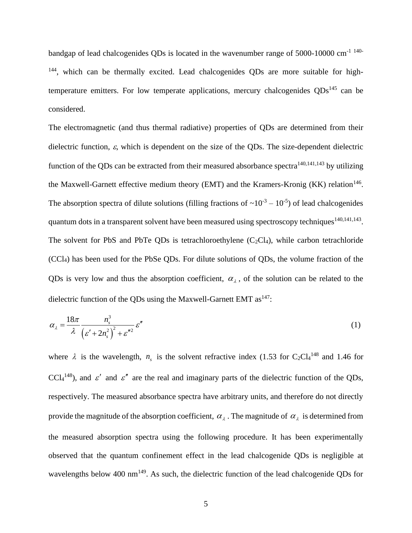bandgap of lead chalcogenides QDs is located in the wavenumber range of 5000-10000 cm<sup>-1 140-</sup> <sup>144</sup>, which can be thermally excited. Lead chalcogenides QDs are more suitable for hightemperature emitters. For low temperate applications, mercury chalcogenides  $QDs<sup>145</sup>$  can be considered.

The electromagnetic (and thus thermal radiative) properties of QDs are determined from their dielectric function,  $\varepsilon$ , which is dependent on the size of the QDs. The size-dependent dielectric function of the QDs can be extracted from their measured absorbance spectra<sup>140,141,143</sup> by utilizing the Maxwell-Garnett effective medium theory (EMT) and the Kramers-Kronig (KK) relation<sup>146</sup>. The absorption spectra of dilute solutions (filling fractions of  $\sim 10^{-3} - 10^{-5}$ ) of lead chalcogenides quantum dots in a transparent solvent have been measured using spectroscopy techniques<sup>140,141,143</sup>. The solvent for PbS and PbTe QDs is tetrachloroethylene  $(C_2Cl_4)$ , while carbon tetrachloride (CCl4) has been used for the PbSe QDs. For dilute solutions of QDs, the volume fraction of the QDs is very low and thus the absorption coefficient,  $\alpha_{\lambda}$ , of the solution can be related to the dielectric function of the QDs using the Maxwell-Garnett EMT  $as^{147}$ :

$$
\alpha_{\lambda} = \frac{18\pi}{\lambda} \frac{n_s^3}{\left(\varepsilon' + 2n_s^2\right)^2 + \varepsilon''^2} \varepsilon''
$$
\n(1)

where  $\lambda$  is the wavelength,  $n<sub>s</sub>$  is the solvent refractive index (1.53 for C<sub>2</sub>Cl<sub>4</sub><sup>148</sup> and 1.46 for CCl<sub>4</sub><sup>148</sup>), and  $\varepsilon'$  and  $\varepsilon''$  are the real and imaginary parts of the dielectric function of the QDs, respectively. The measured absorbance spectra have arbitrary units, and therefore do not directly provide the magnitude of the absorption coefficient,  $\alpha_{\lambda}$ . The magnitude of  $\alpha_{\lambda}$  is determined from the measured absorption spectra using the following procedure. It has been experimentally observed that the quantum confinement effect in the lead chalcogenide QDs is negligible at wavelengths below 400  $\text{nm}^{149}$ . As such, the dielectric function of the lead chalcogenide QDs for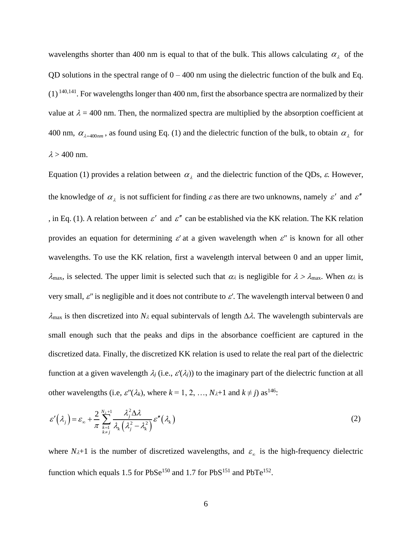wavelengths shorter than 400 nm is equal to that of the bulk. This allows calculating  $\alpha_{\lambda}$  of the QD solutions in the spectral range of  $0 - 400$  nm using the dielectric function of the bulk and Eq.  $(1)$ <sup>140,141</sup>. For wavelengths longer than 400 nm, first the absorbance spectra are normalized by their value at  $\lambda = 400$  nm. Then, the normalized spectra are multiplied by the absorption coefficient at 400 nm,  $\alpha_{\lambda=400nm}$ , as found using Eq. (1) and the dielectric function of the bulk, to obtain  $\alpha_{\lambda}$  for  $\lambda$  > 400 nm.

Equation (1) provides a relation between  $\alpha_{\lambda}$  and the dielectric function of the QDs,  $\varepsilon$ . However, the knowledge of  $\alpha_{\lambda}$  is not sufficient for finding  $\varepsilon$  as there are two unknowns, namely  $\varepsilon'$  and  $\varepsilon''$ , in Eq. (1). A relation between  $\varepsilon'$  and  $\varepsilon''$  can be established via the KK relation. The KK relation provides an equation for determining  $\varepsilon'$  at a given wavelength when  $\varepsilon''$  is known for all other wavelengths. To use the KK relation, first a wavelength interval between 0 and an upper limit,  $\lambda_{\text{max}}$ , is selected. The upper limit is selected such that  $\alpha_{\lambda}$  is negligible for  $\lambda > \lambda_{\text{max}}$ . When  $\alpha_{\lambda}$  is very small,  $\varepsilon$ " is negligible and it does not contribute to  $\varepsilon$ '. The wavelength interval between 0 and  $\lambda_{\text{max}}$  is then discretized into  $N_{\lambda}$  equal subintervals of length  $\Delta\lambda$ . The wavelength subintervals are small enough such that the peaks and dips in the absorbance coefficient are captured in the discretized data. Finally, the discretized KK relation is used to relate the real part of the dielectric function at a given wavelength  $\lambda_j$  (i.e.,  $\varepsilon'(\lambda_j)$ ) to the imaginary part of the dielectric function at all other wavelengths (i.e,  $\varepsilon''(\lambda_k)$ , where  $k = 1, 2, ..., N_{\lambda+1}$  and  $k \neq j$ ) as<sup>146</sup>:

$$
\varepsilon'(\lambda_j) = \varepsilon_{\infty} + \frac{2}{\pi} \sum_{\substack{k=1\\k \neq j}}^{N_{\lambda}+1} \frac{\lambda_j^2 \Delta \lambda}{\lambda_k (\lambda_j^2 - \lambda_k^2)} \varepsilon''(\lambda_k)
$$
 (2)

where  $N_{\lambda+1}$  is the number of discretized wavelengths, and  $\varepsilon_{\infty}$  is the high-frequency dielectric function which equals 1.5 for  $PbSe^{150}$  and 1.7 for  $PbS^{151}$  and  $PbTe^{152}$ .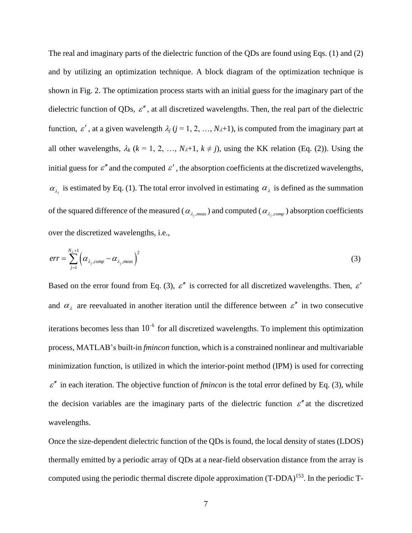The real and imaginary parts of the dielectric function of the QDs are found using Eqs. (1) and (2) and by utilizing an optimization technique. A block diagram of the optimization technique is shown in Fig. 2. The optimization process starts with an initial guess for the imaginary part of the dielectric function of QDs,  $\varepsilon''$ , at all discretized wavelengths. Then, the real part of the dielectric function,  $\varepsilon'$ , at a given wavelength  $\lambda_j$  ( $j = 1, 2, ..., N_{\lambda+1}$ ), is computed from the imaginary part at all other wavelengths,  $\lambda_k$  ( $k = 1, 2, ..., N_{\lambda+1}, k \neq j$ ), using the KK relation (Eq. (2)). Using the initial guess for  $\varepsilon''$  and the computed  $\varepsilon'$ , the absorption coefficients at the discretized wavelengths,  $\alpha_{\lambda_j}$  is estimated by Eq. (1). The total error involved in estimating  $\alpha_{\lambda}$  is defined as the summation of the squared difference of the measured ( $\alpha_{\lambda_j,meas}$ ) and computed ( $\alpha_{\lambda_j,comp}$ ) absorption coefficients over the discretized wavelengths, i.e.,

$$
err = \sum_{j=1}^{N_{\lambda}+1} \left( \alpha_{\lambda_j, comp} - \alpha_{\lambda_j, meas} \right)^2
$$
 (3)

Based on the error found from Eq. (3),  $\varepsilon''$  is corrected for all discretized wavelengths. Then,  $\varepsilon'$ and  $\alpha_{\lambda}$  are reevaluated in another iteration until the difference between  $\varepsilon''$  in two consecutive iterations becomes less than  $10^{-6}$  for all discretized wavelengths. To implement this optimization process, MATLAB's built-in *fmincon* function, which is a constrained nonlinear and multivariable minimization function, is utilized in which the interior-point method (IPM) is used for correcting  $\varepsilon$ " in each iteration. The objective function of *fmincon* is the total error defined by Eq. (3), while the decision variables are the imaginary parts of the dielectric function  $\varepsilon''$  at the discretized wavelengths.

Once the size-dependent dielectric function of the QDs is found, the local density of states (LDOS) thermally emitted by a periodic array of QDs at a near-field observation distance from the array is computed using the periodic thermal discrete dipole approximation (T-DDA)<sup>153</sup>. In the periodic T-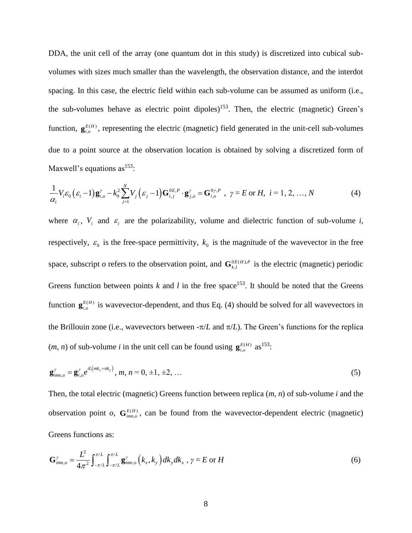DDA, the unit cell of the array (one quantum dot in this study) is discretized into cubical subvolumes with sizes much smaller than the wavelength, the observation distance, and the interdot spacing. In this case, the electric field within each sub-volume can be assumed as uniform (i.e., the sub-volumes behave as electric point dipoles)<sup>153</sup>. Then, the electric (magnetic) Green's function,  $\mathbf{g}_{i}^{E(H)}$ ,  $g_{i,o}^{E(H)}$ , representing the electric (magnetic) field generated in the unit-cell sub-volumes due to a point source at the observation location is obtained by solving a discretized form of Maxwell's equations as  $153$ :

$$
\frac{1}{\alpha_i} V_i \varepsilon_0 \left( \varepsilon_i - 1 \right) \mathbf{g}_{i,o}^{\gamma} - k_0^2 \sum_{j=1}^N V_j \left( \varepsilon_j - 1 \right) \mathbf{G}_{i,j}^{0E,P} \cdot \mathbf{g}_{j,o}^{\gamma} = \mathbf{G}_{i,o}^{0\gamma,P} , \ \gamma = E \text{ or } H, \ i = 1, 2, ..., N
$$
 (4)

where  $\alpha_i$ ,  $V_i$  and  $\varepsilon_i$  are the polarizability, volume and dielectric function of sub-volume *i*, respectively,  $\varepsilon_0$  is the free-space permittivity,  $k_0$  is the magnitude of the wavevector in the free space, subscript *o* refers to the observation point, and  $\mathbf{G}_{k,l}^{\text{0E(H)}}$  $\mathbf{G}_{k,l}^{\text{0E(H)},P}$  is the electric (magnetic) periodic Greens function between points  $k$  and  $l$  in the free space<sup>153</sup>. It should be noted that the Greens function  $\mathbf{g}_{i}^{E(H)}$ ,  $g_{i,o}^{E(H)}$  is wavevector-dependent, and thus Eq. (4) should be solved for all wavevectors in the Brillouin zone (i.e., wavevectors between  $-\pi/L$  and  $\pi/L$ ). The Green's functions for the replica  $(m, n)$  of sub-volume *i* in the unit cell can be found using  $\mathbf{g}_{i,o}^{E(H)}$ ,  $\mathbf{g}_{i,o}^{E(H)}$  as <sup>153</sup>:

$$
\mathbf{g}_{imn,0}^{\gamma} = \mathbf{g}_{i,o}^{\gamma} e^{iL(mk_x + nk_y)}, m, n = 0, \pm 1, \pm 2, \dots
$$
 (5)

Then, the total electric (magnetic) Greens function between replica (*m*, *n*) of sub-volume *i* and the observation point *o*,  $\mathbf{G}^{E(H)}_{imm}$  ${\bf G}^{E(H)}_{imn,o}$ , can be found from the wavevector-dependent electric (magnetic) Greens functions as:

$$
\mathbf{G}^{\gamma}_{imn,o} = \frac{L^2}{4\pi^2} \int_{-\pi/L}^{\pi/L} \int_{-\pi/L}^{\pi/L} \mathbf{g}^{\gamma}_{imn,o} \left( k_x, k_y \right) dk_y dk_x , \gamma = E \text{ or } H
$$
 (6)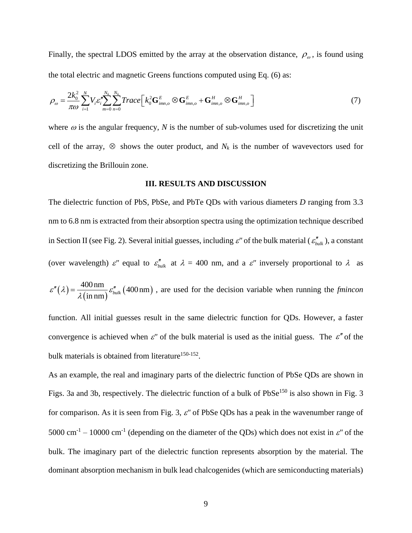Finally, the spectral LDOS emitted by the array at the observation distance,  $\rho_{\omega}$ , is found using

the total electric and magnetic Greens functions computed using Eq. (6) as:  
\n
$$
\rho_{\omega} = \frac{2k_0^2}{\pi \omega} \sum_{i=1}^{N} V_i \varepsilon_i'' \sum_{m=0}^{N_k} Trace \left[ k_0^2 \mathbf{G}_{imm,\sigma}^E \otimes \mathbf{G}_{imm,\sigma}^E + \mathbf{G}_{imm,\sigma}^H \otimes \mathbf{G}_{imm,\sigma}^H \right]
$$
\n(7)

where  $\omega$  is the angular frequency, *N* is the number of sub-volumes used for discretizing the unit cell of the array,  $\otimes$  shows the outer product, and  $N_k$  is the number of wavevectors used for discretizing the Brillouin zone.

#### **III. RESULTS AND DISCUSSION**

The dielectric function of PbS, PbSe, and PbTe QDs with various diameters *D* ranging from 3.3 nm to 6.8 nm is extracted from their absorption spectra using the optimization technique described in Section II (see Fig. 2). Several initial guesses, including  $\varepsilon''$  of the bulk material ( $\varepsilon''_{bulk}$ ), a constant (over wavelength)  $\varepsilon''$  equal to  $\varepsilon''_{bulk}$  at  $\lambda = 400$  nm, and a  $\varepsilon''$  inversely proportional to  $\lambda$  as

$$
\varepsilon''(\lambda) = \frac{400 \text{ nm}}{\lambda(\text{in nm})} \varepsilon''_{bulk} (400 \text{ nm})
$$
, are used for the decision variable when running the *fmincon*

function. All initial guesses result in the same dielectric function for QDs. However, a faster convergence is achieved when  $\varepsilon$ " of the bulk material is used as the initial guess. The  $\varepsilon$ " of the bulk materials is obtained from literature<sup>150-152</sup>.

As an example, the real and imaginary parts of the dielectric function of PbSe QDs are shown in Figs. 3a and 3b, respectively. The dielectric function of a bulk of PbSe<sup>150</sup> is also shown in Fig. 3 for comparison. As it is seen from Fig. 3,  $\varepsilon$ " of PbSe QDs has a peak in the wavenumber range of 5000 cm<sup>-1</sup> – 10000 cm<sup>-1</sup> (depending on the diameter of the QDs) which does not exist in  $\varepsilon$ " of the bulk. The imaginary part of the dielectric function represents absorption by the material. The dominant absorption mechanism in bulk lead chalcogenides (which are semiconducting materials)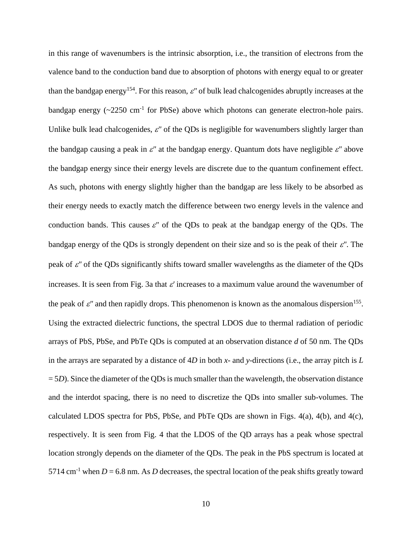in this range of wavenumbers is the intrinsic absorption, i.e., the transition of electrons from the valence band to the conduction band due to absorption of photons with energy equal to or greater than the bandgap energy<sup>154</sup>. For this reason,  $\varepsilon$ " of bulk lead chalcogenides abruptly increases at the bandgap energy  $(\sim 2250 \text{ cm}^{-1}$  for PbSe) above which photons can generate electron-hole pairs. Unlike bulk lead chalcogenides,  $\varepsilon$ " of the QDs is negligible for wavenumbers slightly larger than the bandgap causing a peak in  $\varepsilon$ " at the bandgap energy. Quantum dots have negligible  $\varepsilon$ " above the bandgap energy since their energy levels are discrete due to the quantum confinement effect. As such, photons with energy slightly higher than the bandgap are less likely to be absorbed as their energy needs to exactly match the difference between two energy levels in the valence and conduction bands. This causes  $\varepsilon$ " of the QDs to peak at the bandgap energy of the QDs. The bandgap energy of the QDs is strongly dependent on their size and so is the peak of their  $\varepsilon$ ". The peak of  $\varepsilon$ " of the QDs significantly shifts toward smaller wavelengths as the diameter of the QDs increases. It is seen from Fig. 3a that  $\varepsilon'$  increases to a maximum value around the wavenumber of the peak of  $\varepsilon$ " and then rapidly drops. This phenomenon is known as the anomalous dispersion<sup>155</sup>. Using the extracted dielectric functions, the spectral LDOS due to thermal radiation of periodic arrays of PbS, PbSe, and PbTe QDs is computed at an observation distance *d* of 50 nm. The QDs in the arrays are separated by a distance of 4*D* in both *x*- and *y*-directions (i.e., the array pitch is *L*  $=$  5*D*). Since the diameter of the QDs is much smaller than the wavelength, the observation distance and the interdot spacing, there is no need to discretize the QDs into smaller sub-volumes. The calculated LDOS spectra for PbS, PbSe, and PbTe QDs are shown in Figs. 4(a), 4(b), and 4(c), respectively. It is seen from Fig. 4 that the LDOS of the QD arrays has a peak whose spectral location strongly depends on the diameter of the QDs. The peak in the PbS spectrum is located at 5714 cm<sup>-1</sup> when  $D = 6.8$  nm. As D decreases, the spectral location of the peak shifts greatly toward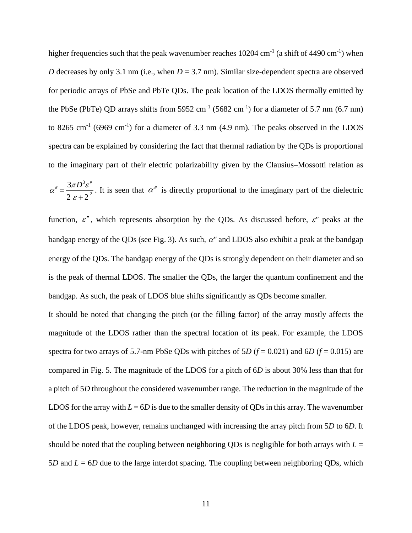higher frequencies such that the peak wavenumber reaches  $10204 \text{ cm}^{-1}$  (a shift of 4490 cm<sup>-1</sup>) when *D* decreases by only 3.1 nm (i.e., when  $D = 3.7$  nm). Similar size-dependent spectra are observed for periodic arrays of PbSe and PbTe QDs. The peak location of the LDOS thermally emitted by the PbSe (PbTe) QD arrays shifts from 5952 cm<sup>-1</sup> (5682 cm<sup>-1</sup>) for a diameter of 5.7 nm (6.7 nm) to 8265 cm<sup>-1</sup> (6969 cm<sup>-1</sup>) for a diameter of 3.3 nm (4.9 nm). The peaks observed in the LDOS spectra can be explained by considering the fact that thermal radiation by the QDs is proportional to the imaginary part of their electric polarizability given by the Clausius–Mossotti relation as

$$
\alpha'' = \frac{3\pi D^3 \varepsilon''}{2|\varepsilon + 2|^2}
$$
. It is seen that  $\alpha''$  is directly proportional to the imaginary part of the dielectric

function,  $\varepsilon''$ , which represents absorption by the QDs. As discussed before,  $\varepsilon''$  peaks at the bandgap energy of the QDs (see Fig. 3). As such,  $\alpha$ <sup>"</sup> and LDOS also exhibit a peak at the bandgap energy of the QDs. The bandgap energy of the QDs is strongly dependent on their diameter and so is the peak of thermal LDOS. The smaller the QDs, the larger the quantum confinement and the bandgap. As such, the peak of LDOS blue shifts significantly as QDs become smaller.

It should be noted that changing the pitch (or the filling factor) of the array mostly affects the magnitude of the LDOS rather than the spectral location of its peak. For example, the LDOS spectra for two arrays of 5.7-nm PbSe QDs with pitches of  $5D$  ( $f = 0.021$ ) and  $6D$  ( $f = 0.015$ ) are compared in Fig. 5. The magnitude of the LDOS for a pitch of 6*D* is about 30% less than that for a pitch of 5*D* throughout the considered wavenumber range. The reduction in the magnitude of the LDOS for the array with  $L = 6D$  is due to the smaller density of QDs in this array. The wavenumber of the LDOS peak, however, remains unchanged with increasing the array pitch from 5*D* to 6*D*. It should be noted that the coupling between neighboring QDs is negligible for both arrays with  $L =$ 5*D* and  $L = 6D$  due to the large interdot spacing. The coupling between neighboring QDs, which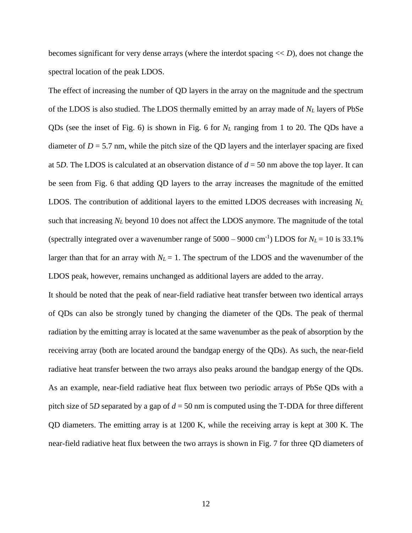becomes significant for very dense arrays (where the interdot spacing << *D*), does not change the spectral location of the peak LDOS.

The effect of increasing the number of QD layers in the array on the magnitude and the spectrum of the LDOS is also studied. The LDOS thermally emitted by an array made of *N<sup>L</sup>* layers of PbSe QDs (see the inset of Fig. 6) is shown in Fig. 6 for *N<sup>L</sup>* ranging from 1 to 20. The QDs have a diameter of  $D = 5.7$  nm, while the pitch size of the QD layers and the interlayer spacing are fixed at 5*D*. The LDOS is calculated at an observation distance of  $d = 50$  nm above the top layer. It can be seen from Fig. 6 that adding QD layers to the array increases the magnitude of the emitted LDOS. The contribution of additional layers to the emitted LDOS decreases with increasing *N<sup>L</sup>* such that increasing *N<sup>L</sup>* beyond 10 does not affect the LDOS anymore. The magnitude of the total (spectrally integrated over a wavenumber range of  $5000 - 9000$  cm<sup>-1</sup>) LDOS for  $N_L = 10$  is 33.1% larger than that for an array with  $N_L = 1$ . The spectrum of the LDOS and the wavenumber of the LDOS peak, however, remains unchanged as additional layers are added to the array.

It should be noted that the peak of near-field radiative heat transfer between two identical arrays of QDs can also be strongly tuned by changing the diameter of the QDs. The peak of thermal radiation by the emitting array is located at the same wavenumber as the peak of absorption by the receiving array (both are located around the bandgap energy of the QDs). As such, the near-field radiative heat transfer between the two arrays also peaks around the bandgap energy of the QDs. As an example, near-field radiative heat flux between two periodic arrays of PbSe QDs with a pitch size of 5*D* separated by a gap of  $d = 50$  nm is computed using the T-DDA for three different QD diameters. The emitting array is at 1200 K, while the receiving array is kept at 300 K. The near-field radiative heat flux between the two arrays is shown in Fig. 7 for three QD diameters of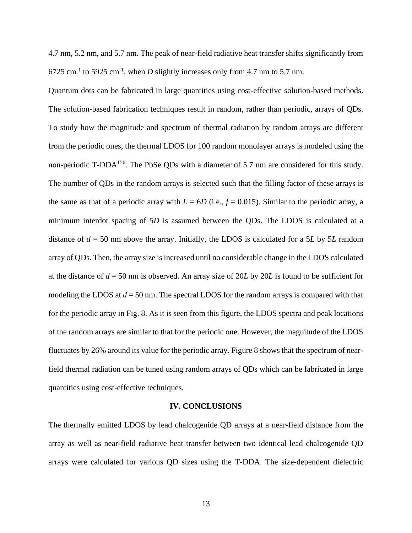4.7 nm, 5.2 nm, and 5.7 nm. The peak of near-field radiative heat transfer shifts significantly from  $6725 \text{ cm}^{-1}$  to  $5925 \text{ cm}^{-1}$ , when *D* slightly increases only from 4.7 nm to 5.7 nm.

Quantum dots can be fabricated in large quantities using cost-effective solution-based methods. The solution-based fabrication techniques result in random, rather than periodic, arrays of QDs. To study how the magnitude and spectrum of thermal radiation by random arrays are different from the periodic ones, the thermal LDOS for 100 random monolayer arrays is modeled using the non-periodic T-DDA<sup>156</sup>. The PbSe QDs with a diameter of 5.7 nm are considered for this study. The number of QDs in the random arrays is selected such that the filling factor of these arrays is the same as that of a periodic array with  $L = 6D$  (i.e.,  $f = 0.015$ ). Similar to the periodic array, a minimum interdot spacing of 5*D* is assumed between the QDs. The LDOS is calculated at a distance of *d* = 50 nm above the array. Initially, the LDOS is calculated for a 5*L* by 5*L* random array of QDs. Then, the array size is increased until no considerable change in the LDOS calculated at the distance of *d* = 50 nm is observed. An array size of 20*L* by 20*L* is found to be sufficient for modeling the LDOS at *d* = 50 nm. The spectral LDOS for the random arrays is compared with that for the periodic array in Fig. 8. As it is seen from this figure, the LDOS spectra and peak locations of the random arrays are similar to that for the periodic one. However, the magnitude of the LDOS fluctuates by 26% around its value for the periodic array. Figure 8 shows that the spectrum of nearfield thermal radiation can be tuned using random arrays of QDs which can be fabricated in large quantities using cost-effective techniques.

## **IV. CONCLUSIONS**

The thermally emitted LDOS by lead chalcogenide QD arrays at a near-field distance from the array as well as near-field radiative heat transfer between two identical lead chalcogenide QD arrays were calculated for various QD sizes using the T-DDA. The size-dependent dielectric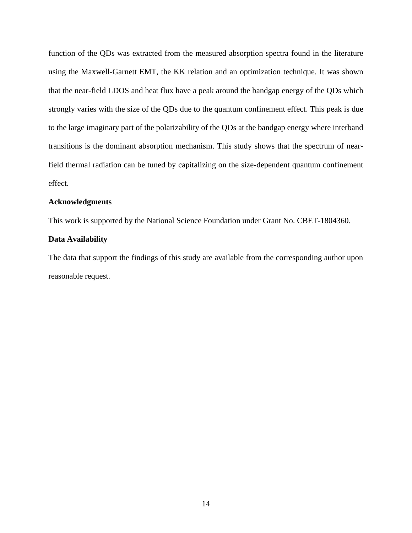function of the QDs was extracted from the measured absorption spectra found in the literature using the Maxwell-Garnett EMT, the KK relation and an optimization technique. It was shown that the near-field LDOS and heat flux have a peak around the bandgap energy of the QDs which strongly varies with the size of the QDs due to the quantum confinement effect. This peak is due to the large imaginary part of the polarizability of the QDs at the bandgap energy where interband transitions is the dominant absorption mechanism. This study shows that the spectrum of nearfield thermal radiation can be tuned by capitalizing on the size-dependent quantum confinement effect.

## **Acknowledgments**

This work is supported by the National Science Foundation under Grant No. CBET-1804360.

## **Data Availability**

The data that support the findings of this study are available from the corresponding author upon reasonable request.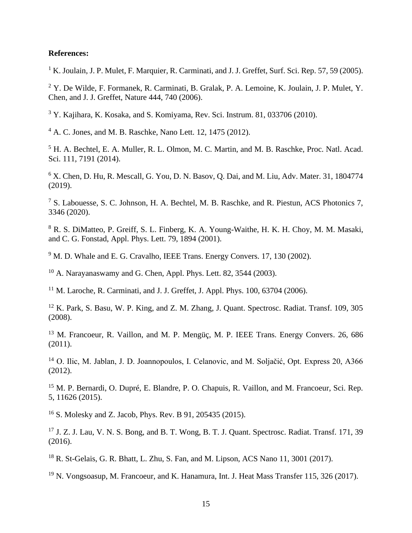# **References:**

<sup>1</sup> K. Joulain, J. P. Mulet, F. Marquier, R. Carminati, and J. J. Greffet, Surf. Sci. Rep. 57, 59 (2005).

<sup>2</sup> Y. De Wilde, F. Formanek, R. Carminati, B. Gralak, P. A. Lemoine, K. Joulain, J. P. Mulet, Y. Chen, and J. J. Greffet, Nature 444, 740 (2006).

<sup>3</sup> Y. Kajihara, K. Kosaka, and S. Komiyama, Rev. Sci. Instrum. 81, 033706 (2010).

 $4$  A. C. Jones, and M. B. Raschke, Nano Lett. 12, 1475 (2012).

<sup>5</sup> H. A. Bechtel, E. A. Muller, R. L. Olmon, M. C. Martin, and M. B. Raschke, Proc. Natl. Acad. Sci. 111, 7191 (2014).

<sup>6</sup> X. Chen, D. Hu, R. Mescall, G. You, D. N. Basov, Q. Dai, and M. Liu, Adv. Mater. 31, 1804774 (2019).

<sup>7</sup> S. Labouesse, S. C. Johnson, H. A. Bechtel, M. B. Raschke, and R. Piestun, ACS Photonics 7, 3346 (2020).

<sup>8</sup> R. S. DiMatteo, P. Greiff, S. L. Finberg, K. A. Young-Waithe, H. K. H. Choy, M. M. Masaki, and C. G. Fonstad, Appl. Phys. Lett. 79, 1894 (2001).

<sup>9</sup> M. D. Whale and E. G. Cravalho, IEEE Trans. Energy Convers. 17, 130 (2002).

 $10$  A. Narayanaswamy and G. Chen, Appl. Phys. Lett. 82, 3544 (2003).

<sup>11</sup> M. Laroche, R. Carminati, and J. J. Greffet, J. Appl. Phys. 100, 63704 (2006).

<sup>12</sup> K. Park, S. Basu, W. P. King, and Z. M. Zhang, J. Quant. Spectrosc. Radiat. Transf. 109, 305 (2008).

<sup>13</sup> M. Francoeur, R. Vaillon, and M. P. Mengüç, M. P. IEEE Trans. Energy Convers. 26, 686 (2011).

<sup>14</sup> O. Ilic, M. Jablan, J. D. Joannopoulos, I. Celanovic, and M. Soljačić, Opt. Express 20, A366 (2012).

<sup>15</sup> M. P. Bernardi, O. Dupré, E. Blandre, P. O. Chapuis, R. Vaillon, and M. Francoeur, Sci. Rep. 5, 11626 (2015).

<sup>16</sup> S. Molesky and Z. Jacob, Phys. Rev. B 91, 205435 (2015).

<sup>17</sup> J. Z. J. Lau, V. N. S. Bong, and B. T. Wong, B. T. J. Quant. Spectrosc. Radiat. Transf. 171, 39 (2016).

<sup>18</sup> R. St-Gelais, G. R. Bhatt, L. Zhu, S. Fan, and M. Lipson, ACS Nano 11, 3001 (2017).

<sup>19</sup> N. Vongsoasup, M. Francoeur, and K. Hanamura, Int. J. Heat Mass Transfer 115, 326 (2017).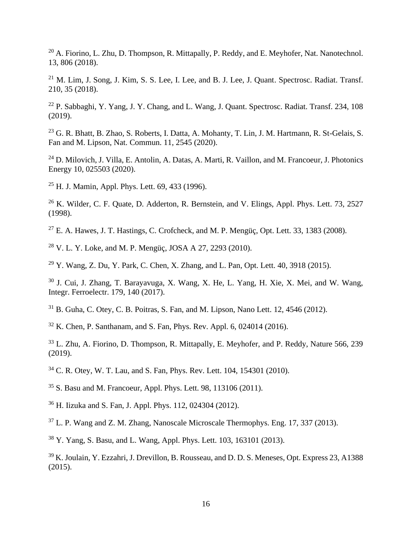<sup>20</sup> A. Fiorino, L. Zhu, D. Thompson, R. Mittapally, P. Reddy, and E. Meyhofer, Nat. Nanotechnol. 13, 806 (2018).

<sup>21</sup> M. Lim, J. Song, J. Kim, S. S. Lee, I. Lee, and B. J. Lee, J. Quant. Spectrosc. Radiat. Transf. 210, 35 (2018).

<sup>22</sup> P. Sabbaghi, Y. Yang, J. Y. Chang, and L. Wang, J. Quant. Spectrosc. Radiat. Transf. 234, 108 (2019).

<sup>23</sup> G. R. Bhatt, B. Zhao, S. Roberts, I. Datta, A. Mohanty, T. Lin, J. M. Hartmann, R. St-Gelais, S. Fan and M. Lipson, Nat. Commun. 11, 2545 (2020).

<sup>24</sup> D. Milovich, J. Villa, E. Antolin, A. Datas, A. Marti, R. Vaillon, and M. Francoeur, J. Photonics Energy 10, 025503 (2020).

<sup>25</sup> H. J. Mamin, Appl. Phys. Lett. 69, 433 (1996).

<sup>26</sup> K. Wilder, C. F. Quate, D. Adderton, R. Bernstein, and V. Elings, Appl. Phys. Lett. 73, 2527 (1998).

 $27$  E. A. Hawes, J. T. Hastings, C. Crofcheck, and M. P. Mengüç, Opt. Lett. 33, 1383 (2008).

<sup>28</sup> V. L. Y. Loke, and M. P. Mengüç, JOSA A 27, 2293 (2010).

<sup>29</sup> Y. Wang, Z. Du, Y. Park, C. Chen, X. Zhang, and L. Pan, Opt. Lett. 40, 3918 (2015).

<sup>30</sup> J. Cui, J. Zhang, T. Barayavuga, X. Wang, X. He, L. Yang, H. Xie, X. Mei, and W. Wang, Integr. Ferroelectr. 179, 140 (2017).

 $31$  B. Guha, C. Otey, C. B. Poitras, S. Fan, and M. Lipson, Nano Lett. 12, 4546 (2012).

<sup>32</sup> K. Chen, P. Santhanam, and S. Fan, Phys. Rev. Appl. 6, 024014 (2016).

<sup>33</sup> L. Zhu, A. Fiorino, D. Thompson, R. Mittapally, E. Meyhofer, and P. Reddy, Nature 566, 239 (2019).

<sup>34</sup> C. R. Otey, W. T. Lau, and S. Fan, Phys. Rev. Lett. 104, 154301 (2010).

<sup>35</sup> S. Basu and M. Francoeur, Appl. Phys. Lett. 98, 113106 (2011).

<sup>36</sup> H. Iizuka and S. Fan, J. Appl. Phys. 112, 024304 (2012).

<sup>37</sup> L. P. Wang and Z. M. Zhang, Nanoscale Microscale Thermophys. Eng. 17, 337 (2013).

<sup>38</sup> Y. Yang, S. Basu, and L. Wang, Appl. Phys. Lett. 103, 163101 (2013).

<sup>39</sup> K. Joulain, Y. Ezzahri, J. Drevillon, B. Rousseau, and D. D. S. Meneses, Opt. Express 23, A1388 (2015).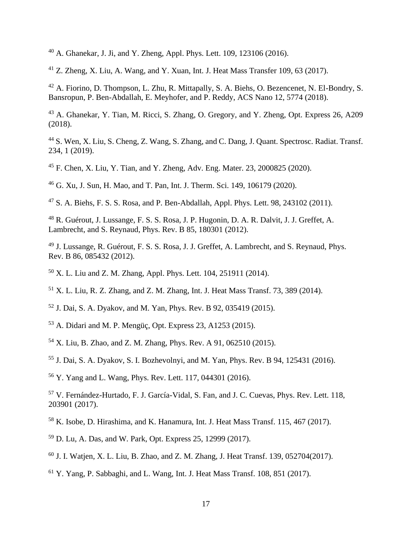A. Ghanekar, J. Ji, and Y. Zheng, Appl. Phys. Lett. 109, 123106 (2016).

Z. Zheng, X. Liu, A. Wang, and Y. Xuan, Int. J. Heat Mass Transfer 109, 63 (2017).

<sup>42</sup> A. Fiorino, D. Thompson, L. Zhu, R. Mittapally, S. A. Biehs, O. Bezencenet, N. El-Bondry, S. Bansropun, P. Ben-Abdallah, E. Meyhofer, and P. Reddy, ACS Nano 12, 5774 (2018).

 A. Ghanekar, Y. Tian, M. Ricci, S. Zhang, O. Gregory, and Y. Zheng, Opt. Express 26, A209 (2018).

<sup>44</sup> S. Wen, X. Liu, S. Cheng, Z. Wang, S. Zhang, and C. Dang, J. Quant. Spectrosc. Radiat. Transf. 234, 1 (2019).

F. Chen, X. Liu, Y. Tian, and Y. Zheng, Adv. Eng. Mater. 23, 2000825 (2020).

G. Xu, J. Sun, H. Mao, and T. Pan, Int. J. Therm. Sci. 149, 106179 (2020).

S. A. Biehs, F. S. S. Rosa, and P. Ben-Abdallah, Appl. Phys. Lett. 98, 243102 (2011).

 R. Guérout, J. Lussange, F. S. S. Rosa, J. P. Hugonin, D. A. R. Dalvit, J. J. Greffet, A. Lambrecht, and S. Reynaud, Phys. Rev. B 85, 180301 (2012).

 J. Lussange, R. Guérout, F. S. S. Rosa, J. J. Greffet, A. Lambrecht, and S. Reynaud, Phys. Rev. B 86, 085432 (2012).

X. L. Liu and Z. M. Zhang, Appl. Phys. Lett. 104, 251911 (2014).

X. L. Liu, R. Z. Zhang, and Z. M. Zhang, Int. J. Heat Mass Transf. 73, 389 (2014).

J. Dai, S. A. Dyakov, and M. Yan, Phys. Rev. B 92, 035419 (2015).

A. Didari and M. P. Mengüç, Opt. Express 23, A1253 (2015).

X. Liu, B. Zhao, and Z. M. Zhang, Phys. Rev. A 91, 062510 (2015).

J. Dai, S. A. Dyakov, S. I. Bozhevolnyi, and M. Yan, Phys. Rev. B 94, 125431 (2016).

Y. Yang and L. Wang, Phys. Rev. Lett. 117, 044301 (2016).

 V. Fernández-Hurtado, F. J. García-Vidal, S. Fan, and J. C. Cuevas, Phys. Rev. Lett. 118, 203901 (2017).

K. Isobe, D. Hirashima, and K. Hanamura, Int. J. Heat Mass Transf. 115, 467 (2017).

D. Lu, A. Das, and W. Park, Opt. Express 25, 12999 (2017).

J. I. Watjen, X. L. Liu, B. Zhao, and Z. M. Zhang, J. Heat Transf. 139, 052704(2017).

Y. Yang, P. Sabbaghi, and L. Wang, Int. J. Heat Mass Transf. 108, 851 (2017).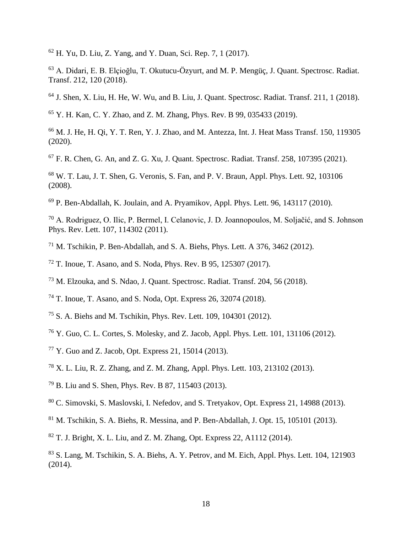H. Yu, D. Liu, Z. Yang, and Y. Duan, Sci. Rep. 7, 1 (2017).

 A. Didari, E. B. Elçioğlu, T. Okutucu-Özyurt, and M. P. Mengüç, J. Quant. Spectrosc. Radiat. Transf. 212, 120 (2018).

J. Shen, X. Liu, H. He, W. Wu, and B. Liu, J. Quant. Spectrosc. Radiat. Transf. 211, 1 (2018).

Y. H. Kan, C. Y. Zhao, and Z. M. Zhang, Phys. Rev. B 99, 035433 (2019).

 M. J. He, H. Qi, Y. T. Ren, Y. J. Zhao, and M. Antezza, Int. J. Heat Mass Transf. 150, 119305 (2020).

F. R. Chen, G. An, and Z. G. Xu, J. Quant. Spectrosc. Radiat. Transf. 258, 107395 (2021).

 W. T. Lau, J. T. Shen, G. Veronis, S. Fan, and P. V. Braun, Appl. Phys. Lett. 92, 103106 (2008).

P. Ben-Abdallah, K. Joulain, and A. Pryamikov, Appl. Phys. Lett. 96, 143117 (2010).

 A. Rodriguez, O. Ilic, P. Bermel, I. Celanovic, J. D. Joannopoulos, M. Soljačić, and S. Johnson Phys. Rev. Lett. 107, 114302 (2011).

M. Tschikin, P. Ben-Abdallah, and S. A. Biehs, Phys. Lett. A 376, 3462 (2012).

T. Inoue, T. Asano, and S. Noda, Phys. Rev. B 95, 125307 (2017).

M. Elzouka, and S. Ndao, J. Quant. Spectrosc. Radiat. Transf. 204, 56 (2018).

T. Inoue, T. Asano, and S. Noda, Opt. Express 26, 32074 (2018).

S. A. Biehs and M. Tschikin, Phys. Rev. Lett. 109, 104301 (2012).

Y. Guo, C. L. Cortes, S. Molesky, and Z. Jacob, Appl. Phys. Lett. 101, 131106 (2012).

Y. Guo and Z. Jacob, Opt. Express 21, 15014 (2013).

X. L. Liu, R. Z. Zhang, and Z. M. Zhang, Appl. Phys. Lett. 103, 213102 (2013).

B. Liu and S. Shen, Phys. Rev. B 87, 115403 (2013).

C. Simovski, S. Maslovski, I. Nefedov, and S. Tretyakov, Opt. Express 21, 14988 (2013).

M. Tschikin, S. A. Biehs, R. Messina, and P. Ben-Abdallah, J. Opt. 15, 105101 (2013).

T. J. Bright, X. L. Liu, and Z. M. Zhang, Opt. Express 22, A1112 (2014).

 S. Lang, M. Tschikin, S. A. Biehs, A. Y. Petrov, and M. Eich, Appl. Phys. Lett. 104, 121903 (2014).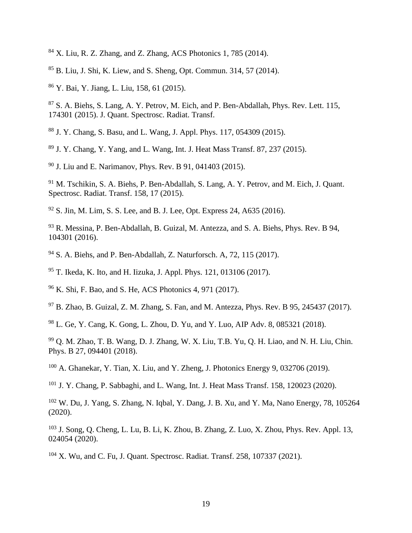- X. Liu, R. Z. Zhang, and Z. Zhang, ACS Photonics 1, 785 (2014).
- B. Liu, J. Shi, K. Liew, and S. Sheng, Opt. Commun. 314, 57 (2014).
- Y. Bai, Y. Jiang, L. Liu, 158, 61 (2015).
- S. A. Biehs, S. Lang, A. Y. Petrov, M. Eich, and P. Ben-Abdallah, Phys. Rev. Lett. 115, 174301 (2015). J. Quant. Spectrosc. Radiat. Transf.
- J. Y. Chang, S. Basu, and L. Wang, J. Appl. Phys. 117, 054309 (2015).
- J. Y. Chang, Y. Yang, and L. Wang, Int. J. Heat Mass Transf. 87, 237 (2015).
- J. Liu and E. Narimanov, Phys. Rev. B 91, 041403 (2015).
- M. Tschikin, S. A. Biehs, P. Ben-Abdallah, S. Lang, A. Y. Petrov, and M. Eich, J. Quant. Spectrosc. Radiat. Transf. 158, 17 (2015).
- S. Jin, M. Lim, S. S. Lee, and B. J. Lee, Opt. Express 24, A635 (2016).
- R. Messina, P. Ben-Abdallah, B. Guizal, M. Antezza, and S. A. Biehs, Phys. Rev. B 94, 104301 (2016).
- S. A. Biehs, and P. Ben-Abdallah, Z. Naturforsch. A, 72, 115 (2017).
- T. Ikeda, K. Ito, and H. Iizuka, J. Appl. Phys. 121, 013106 (2017).
- K. Shi, F. Bao, and S. He, ACS Photonics 4, 971 (2017).
- B. Zhao, B. Guizal, Z. M. Zhang, S. Fan, and M. Antezza, Phys. Rev. B 95, 245437 (2017).
- L. Ge, Y. Cang, K. Gong, L. Zhou, D. Yu, and Y. Luo, AIP Adv. 8, 085321 (2018).
- Q. M. Zhao, T. B. Wang, D. J. Zhang, W. X. Liu, T.B. Yu, Q. H. Liao, and N. H. Liu, Chin. Phys. B 27, 094401 (2018).
- A. Ghanekar, Y. Tian, X. Liu, and Y. Zheng, J. Photonics Energy 9, 032706 (2019).
- J. Y. Chang, P. Sabbaghi, and L. Wang, Int. J. Heat Mass Transf. 158, 120023 (2020).
- W. Du, J. Yang, S. Zhang, N. Iqbal, Y. Dang, J. B. Xu, and Y. Ma, Nano Energy, 78, 105264 (2020).
- J. Song, Q. Cheng, L. Lu, B. Li, K. Zhou, B. Zhang, Z. Luo, X. Zhou, Phys. Rev. Appl. 13, 024054 (2020).
- X. Wu, and C. Fu, J. Quant. Spectrosc. Radiat. Transf. 258, 107337 (2021).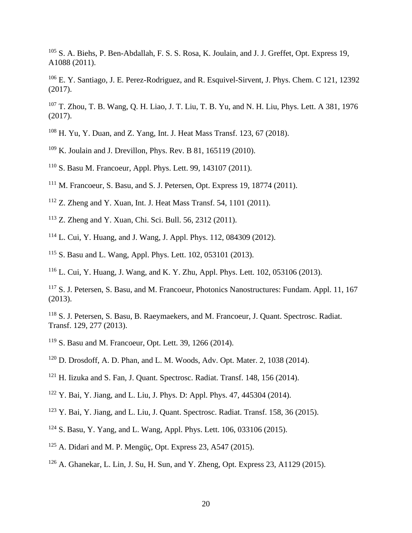S. A. Biehs, P. Ben-Abdallah, F. S. S. Rosa, K. Joulain, and J. J. Greffet, Opt. Express 19, A1088 (2011).

- E. Y. Santiago, J. E. Perez-Rodriguez, and R. Esquivel-Sirvent, J. Phys. Chem. C 121, 12392 (2017).
- T. Zhou, T. B. Wang, Q. H. Liao, J. T. Liu, T. B. Yu, and N. H. Liu, Phys. Lett. A 381, 1976 (2017).
- H. Yu, Y. Duan, and Z. Yang, Int. J. Heat Mass Transf. 123, 67 (2018).
- K. Joulain and J. Drevillon, Phys. Rev. B 81, 165119 (2010).
- S. Basu M. Francoeur, Appl. Phys. Lett. 99, 143107 (2011).
- <sup>111</sup> M. Francoeur, S. Basu, and S. J. Petersen, Opt. Express 19, 18774 (2011).
- Z. Zheng and Y. Xuan, Int. J. Heat Mass Transf. 54, 1101 (2011).
- Z. Zheng and Y. Xuan, Chi. Sci. Bull. 56, 2312 (2011).
- L. Cui, Y. Huang, and J. Wang, J. Appl. Phys. 112, 084309 (2012).
- S. Basu and L. Wang, Appl. Phys. Lett. 102, 053101 (2013).
- L. Cui, Y. Huang, J. Wang, and K. Y. Zhu, Appl. Phys. Lett. 102, 053106 (2013).
- <sup>117</sup> S. J. Petersen, S. Basu, and M. Francoeur, Photonics Nanostructures: Fundam. Appl. 11, 167 (2013).

<sup>118</sup> S. J. Petersen, S. Basu, B. Raeymaekers, and M. Francoeur, J. Quant. Spectrosc. Radiat. Transf. 129, 277 (2013).

- S. Basu and M. Francoeur, Opt. Lett. 39, 1266 (2014).
- D. Drosdoff, A. D. Phan, and L. M. Woods, Adv. Opt. Mater. 2, 1038 (2014).
- <sup>121</sup> H. Iizuka and S. Fan, J. Quant. Spectrosc. Radiat. Transf. 148, 156 (2014).
- Y. Bai, Y. Jiang, and L. Liu, J. Phys. D: Appl. Phys. 47, 445304 (2014).
- Y. Bai, Y. Jiang, and L. Liu, J. Quant. Spectrosc. Radiat. Transf. 158, 36 (2015).
- S. Basu, Y. Yang, and L. Wang, Appl. Phys. Lett. 106, 033106 (2015).
- A. Didari and M. P. Mengüç, Opt. Express 23, A547 (2015).
- A. Ghanekar, L. Lin, J. Su, H. Sun, and Y. Zheng, Opt. Express 23, A1129 (2015).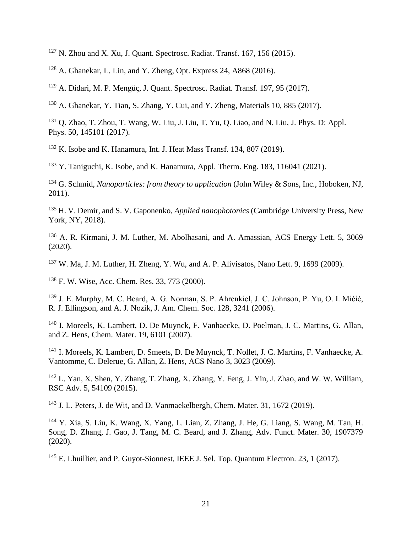- $127$  N. Zhou and X. Xu, J. Quant. Spectrosc. Radiat. Transf. 167, 156 (2015).
- <sup>128</sup> A. Ghanekar, L. Lin, and Y. Zheng, Opt. Express 24, A868 (2016).
- <sup>129</sup> A. Didari, M. P. Mengüç, J. Quant. Spectrosc. Radiat. Transf. 197, 95 (2017).
- <sup>130</sup> A. Ghanekar, Y. Tian, S. Zhang, Y. Cui, and Y. Zheng, Materials 10, 885 (2017).

<sup>131</sup> Q. Zhao, T. Zhou, T. Wang, W. Liu, J. Liu, T. Yu, Q. Liao, and N. Liu, J. Phys. D: Appl. Phys. 50, 145101 (2017).

<sup>132</sup> K. Isobe and K. Hanamura, Int. J. Heat Mass Transf. 134, 807 (2019).

<sup>133</sup> Y. Taniguchi, K. Isobe, and K. Hanamura, Appl. Therm. Eng. 183, 116041 (2021).

<sup>134</sup> G. Schmid, *Nanoparticles: from theory to application* (John Wiley & Sons, Inc., Hoboken, NJ, 2011).

<sup>135</sup> H. V. Demir, and S. V. Gaponenko, *Applied nanophotonics* (Cambridge University Press, New York, NY, 2018).

<sup>136</sup> A. R. Kirmani, J. M. Luther, M. Abolhasani, and A. Amassian, ACS Energy Lett. 5, 3069 (2020).

<sup>137</sup> W. Ma, J. M. Luther, H. Zheng, Y. Wu, and A. P. Alivisatos, Nano Lett. 9, 1699 (2009).

<sup>138</sup> F. W. Wise, Acc. Chem. Res. 33, 773 (2000).

<sup>139</sup> J. E. Murphy, M. C. Beard, A. G. Norman, S. P. Ahrenkiel, J. C. Johnson, P. Yu, O. I. Mićić, R. J. Ellingson, and A. J. Nozik, J. Am. Chem. Soc. 128, 3241 (2006).

<sup>140</sup> I. Moreels, K. Lambert, D. De Muynck, F. Vanhaecke, D. Poelman, J. C. Martins, G. Allan, and Z. Hens, Chem. Mater. 19, 6101 (2007).

<sup>141</sup> I. Moreels, K. Lambert, D. Smeets, D. De Muynck, T. Nollet, J. C. Martins, F. Vanhaecke, A. Vantomme, C. Delerue, G. Allan, Z. Hens, ACS Nano 3, 3023 (2009).

<sup>142</sup> L. Yan, X. Shen, Y. Zhang, T. Zhang, X. Zhang, Y. Feng, J. Yin, J. Zhao, and W. W. William, RSC Adv. 5, 54109 (2015).

143 J. L. Peters, J. de Wit, and D. Vanmaekelbergh, Chem. Mater. 31, 1672 (2019).

<sup>144</sup> Y. Xia, S. Liu, K. Wang, X. Yang, L. Lian, Z. Zhang, J. He, G. Liang, S. Wang, M. Tan, H. Song, D. Zhang, J. Gao, J. Tang, M. C. Beard, and J. Zhang, Adv. Funct. Mater. 30, 1907379 (2020).

<sup>145</sup> E. Lhuillier, and P. Guyot-Sionnest, IEEE J. Sel. Top. Quantum Electron. 23, 1 (2017).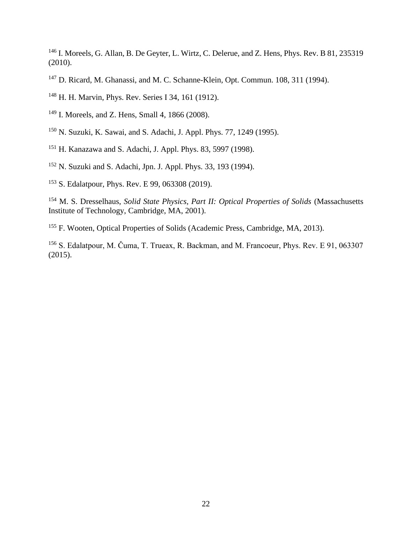<sup>146</sup> I. Moreels, G. Allan, B. De Geyter, L. Wirtz, C. Delerue, and Z. Hens, Phys. Rev. B 81, 235319 (2010).

- D. Ricard, M. Ghanassi, and M. C. Schanne-Klein, Opt. Commun. 108, 311 (1994).
- H. H. Marvin, Phys. Rev. Series I 34, 161 (1912).
- I. Moreels, and Z. Hens, Small 4, 1866 (2008).
- N. Suzuki, K. Sawai, and S. Adachi, J. Appl. Phys. 77, 1249 (1995).
- H. Kanazawa and S. Adachi, J. Appl. Phys. 83, 5997 (1998).
- N. Suzuki and S. Adachi, Jpn. J. Appl. Phys. 33, 193 (1994).
- S. Edalatpour, Phys. Rev. E 99, 063308 (2019).

 M. S. Dresselhaus, *Solid State Physics, Part II: Optical Properties of Solids* (Massachusetts Institute of Technology, Cambridge, MA, 2001).

F. Wooten, Optical Properties of Solids (Academic Press, Cambridge, MA, 2013).

 S. Edalatpour, M. Čuma, T. Trueax, R. Backman, and M. Francoeur, Phys. Rev. E 91, 063307 (2015).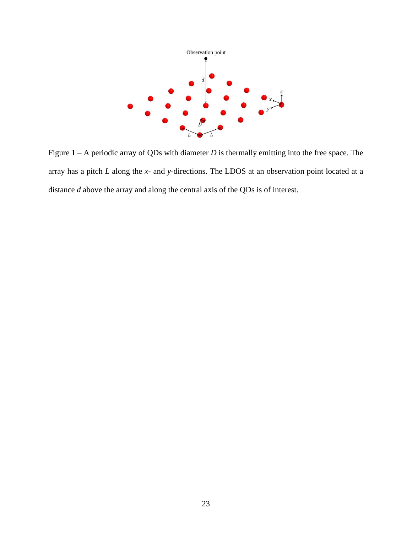

Figure 1 – A periodic array of QDs with diameter *D* is thermally emitting into the free space. The array has a pitch *L* along the *x*- and *y*-directions. The LDOS at an observation point located at a distance *d* above the array and along the central axis of the QDs is of interest.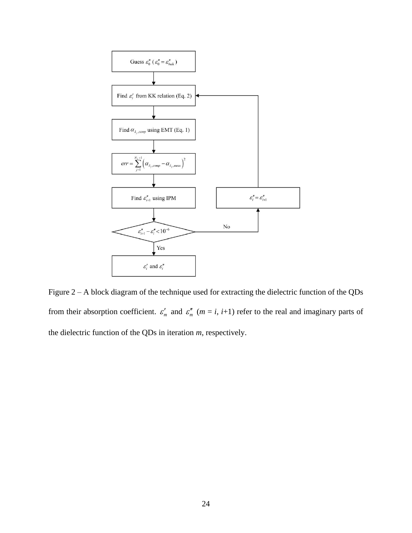

Figure 2 – A block diagram of the technique used for extracting the dielectric function of the QDs from their absorption coefficient.  $\varepsilon'_m$  and  $\varepsilon''_m$  ( $m = i$ ,  $i+1$ ) refer to the real and imaginary parts of the dielectric function of the QDs in iteration *m*, respectively.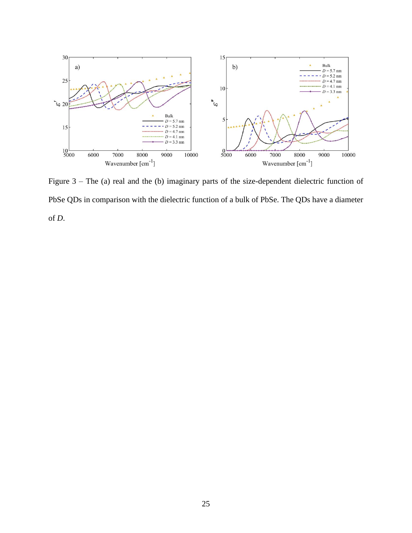

Figure 3 – The (a) real and the (b) imaginary parts of the size-dependent dielectric function of PbSe QDs in comparison with the dielectric function of a bulk of PbSe. The QDs have a diameter of *D*.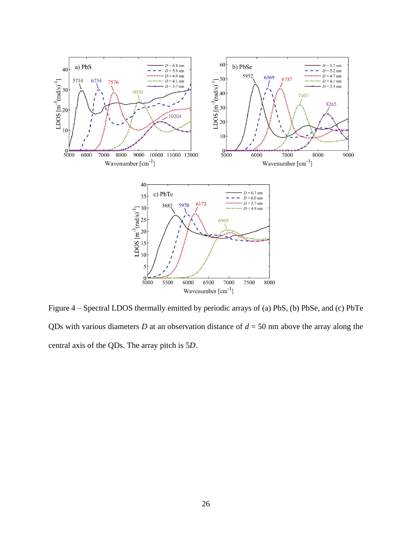

Figure 4 – Spectral LDOS thermally emitted by periodic arrays of (a) PbS, (b) PbSe, and (c) PbTe QDs with various diameters *D* at an observation distance of *d* = 50 nm above the array along the central axis of the QDs. The array pitch is 5*D*.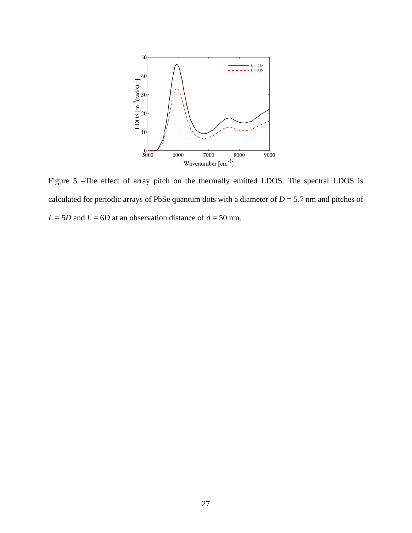

Figure 5 –The effect of array pitch on the thermally emitted LDOS. The spectral LDOS is calculated for periodic arrays of PbSe quantum dots with a diameter of *D* = 5.7 nm and pitches of  $L = 5D$  and  $L = 6D$  at an observation distance of  $d = 50$  nm.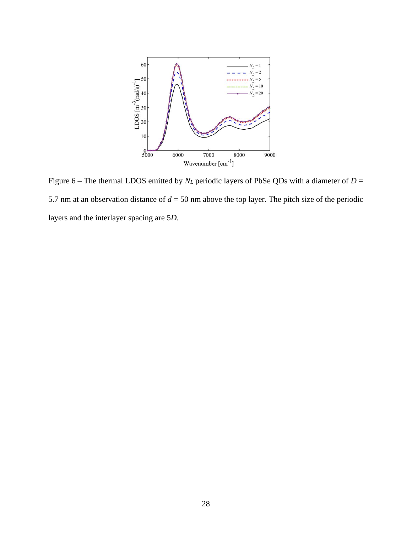

Figure 6 – The thermal LDOS emitted by  $N_L$  periodic layers of PbSe QDs with a diameter of  $D =$ 5.7 nm at an observation distance of  $d = 50$  nm above the top layer. The pitch size of the periodic layers and the interlayer spacing are 5*D*.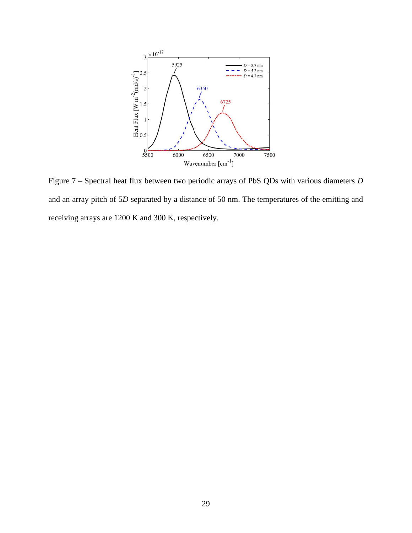

Figure 7 – Spectral heat flux between two periodic arrays of PbS QDs with various diameters *D* and an array pitch of 5*D* separated by a distance of 50 nm. The temperatures of the emitting and receiving arrays are 1200 K and 300 K, respectively.